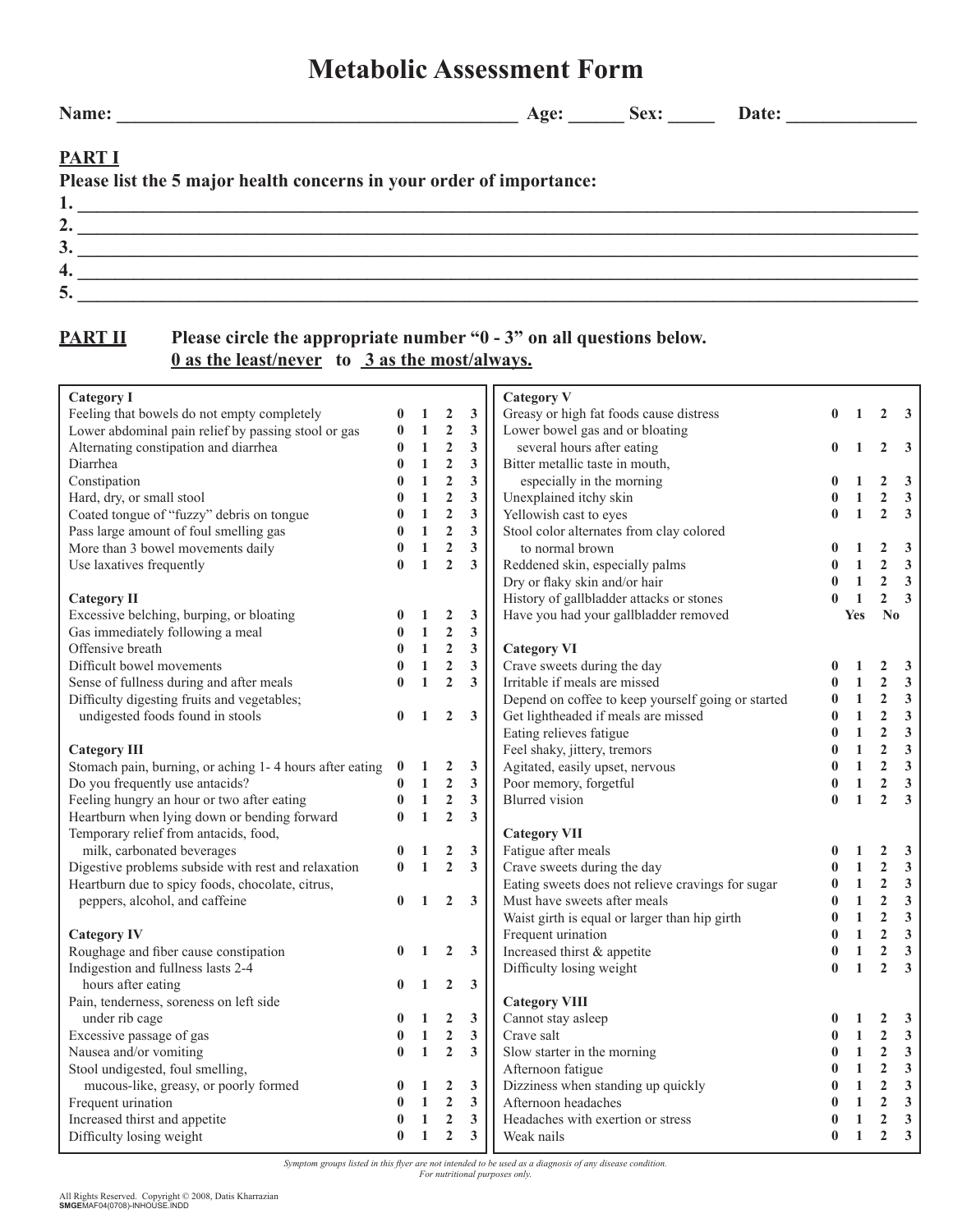## *Symptom groups listed in this flyer are not intended to be used as a diagnosis of any disease condition.*

*For nutritional purposes only.*

## **Metabolic Assessment Form**

**4. \_\_\_\_\_\_\_\_\_\_\_\_\_\_\_\_\_\_\_\_\_\_\_\_\_\_\_\_\_\_\_\_\_\_\_\_\_\_\_\_\_\_\_\_\_\_\_\_\_\_\_\_\_\_\_\_\_\_\_\_\_\_\_\_\_\_\_\_\_\_\_\_\_\_\_\_\_\_\_\_\_\_\_\_\_\_\_\_\_\_**  $5. \;$ 

**PART I**

**PART II** Please circle the appropriate number "0 - 3" on all questions below.  **0 as the least/never to 3 as the most/always.**

## **Category I**  Feeling that bowels do not empty completely **0** 1 2 3 Lower abdominal pain relief by passing stool or gas Alternating constipation and diarrhea Diarrhea Constipation Hard, dry, or small stool Coated tongue of "fuzzy" debris on tongue Pass large amount of foul smelling gas More than 3 bowel movements daily Use laxatives frequently **Category II** Excessive belching, burping, or bloating Gas immediately following a meal Offensive breath Difficult bowel movements Sense of fullness during and after meals Difficulty digesting fruits and vegetables; undigested foods found in stools **Category III** Stomach pain, burning, or aching 1- 4 hours after eating **0 1 2 3** Do you frequently use antacids? Feeling hungry an hour or two after eating Heartburn when lying down or bending forward Temporary relief from antacids, food, milk, carbonated beverages Digestive problems subside with rest and relaxation **0 1 2 3** Heartburn due to spicy foods, chocolate, citrus, peppers, alcohol, and caffeine **Category IV**  Roughage and fiber cause constipation Indigestion and fullness lasts 2-4 hours after eating Pain, tenderness, soreness on left side under rib cage Excessive passage of gas Nausea and/or vomiting Stool undigested, foul smelling, mucous-like, greasy, or poorly formed Frequent urination Increased thirst and appetite Difficulty losing weight  $\begin{array}{cccc} 0 & 1 & 2 & 3 \\ 0 & 1 & 2 & 3 \end{array}$  $0 \t1 \t2$ **0 1 2 3 0 1 2 3 0 1 2 3 0 1 2 3 0 1 2 3 0 1 2 3 0 1 2 3 0 1 2 3 0 1 2 3**  $\begin{array}{cccc} 0 & 1 & 2 & 3 \\ 0 & 1 & 2 & 3 \end{array}$ **0 1 2 3 0 1 2 3 0 1 2 3 0 1 2 3 0 1 2 3 0 1 2 3 0 1 2 3 0 1 2 3 0 1 2 3 0 1 2 3 0 1 2 3 0 1 2 3 0 1 2 3 0 1 2 3 0 1 2 3 0 1 2 3 0 1 2 3 Category V** Greasy or high fat foods cause distress Lower bowel gas and or bloating several hours after eating Bitter metallic taste in mouth, especially in the morning Unexplained itchy skin Yellowish cast to eyes Stool color alternates from clay colored to normal brown Reddened skin, especially palms Dry or flaky skin and/or hair History of gallbladder attacks or stones<br>Have you had your gallbladder removed Have you had your gallbladder removed **Category VI**  Crave sweets during the day Irritable if meals are missed Depend on coffee to keep yourself going or started Get lightheaded if meals are missed Eating relieves fatigue Feel shaky, jittery, tremors Agitated, easily upset, nervous Foor snaxy, jutery, tremors<br>Agitated, easily upset, nervous<br>Poor memory, forgetful Blurred vision **Category VII**  Fatigue after meals Crave sweets during the day Eating sweets does not relieve cravings for sugar Must have sweets after meals Waist girth is equal or larger than hip girth Frequent urination Increased thirst & appetite Difficulty losing weight **Category VIII** Cannot stay asleep Crave salt Slow starter in the morning<br>Afternoon fatimes Afternoon fatigue Dizziness when standing up quickly Afternoon headaches Headaches with exertion or stress Weak nails **0 1 2 3 0 1 2 3 0 1 2 3 0 1 2 3 0 1 2 3 0 1 2 3 0 1 2 3 0 1 2 3 0 1 2 3 Yes No 0 1 2 3 0 1 2 3 0 1 2 3 0 1 2 3 0 1 2 3 0 1 2 3 0 1 2 3 0 1 2 3 0 1 2 3 0 1 2 3 0 1 2 3 0 1 2 3 0 1 2 3 0 1 2 3 0 1 2 3 0 1 2 3 0 1 2 3 0 1 2 3 0 1 2 3 0 1 2 3 0 1 2 3 0 1 2 3 0 1 2 3 0 1 2 3 0 1 2 3**

**Name: \_\_\_\_\_\_\_\_\_\_\_\_\_\_\_\_\_\_\_\_\_\_\_\_\_\_\_\_\_\_\_\_\_\_\_\_\_\_\_\_\_\_\_ Age: \_\_\_\_\_\_ Sex: \_\_\_\_\_ Date: \_\_\_\_\_\_\_\_\_\_\_\_\_\_**